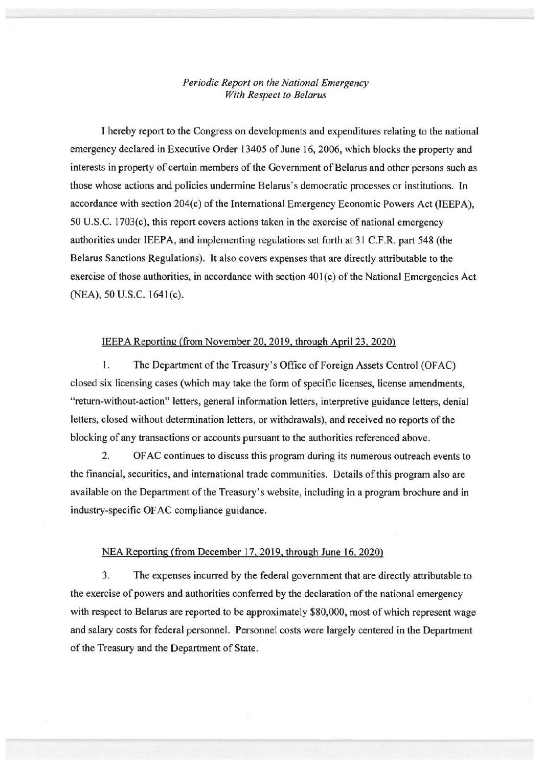## *Periodic Report on the National Emergency With Respect to Belarus*

I hereby report to the Congress on developments and expenditures relating to the national emergency declared in Executive Order 13405 of June 16, 2006, which blocks the property and interests in property of certain members of the Government of Belarus and other persons such as those whose actions and policies undermine Belarus's democratic processes or institutions. In accordance with section 204(c) of the International Emergency Economic Powers Act (IEEPA), 50 U.S.C. l703(c), this report covers actions taken in the exercise of national emergency authorities under IEEPA, and implementing regulations set forth at 31 C.F.R. part 548 (the Belarus Sanctions Regulations). It also covers expenses that are directly attributable to the exercise of those authorities, in accordance with section 401(c) of the National Emergencies Act (NEA), 50 U.S.C. l64l(c).

## IEEPA Reporting (from November 20,2019, through April23, 2020)

I. The Department of the Treasury's Office of Foreign Assets Control (OFAC) closed six licensing cases (which may take the form of specific licenses, license amendments, "return-without-action" letters, general information letters, interpretive guidance letters, denial letters, closed without determination letters, or withdrawals), and received no reports of the blocking of any transactions or accounts pursuant to the authorities referenced above.

2. OF AC continues to discuss this program during its numerous outreach events to the financial, securities, and international trade communities. Details of this program also are available on the Department of the Treasury's website, including in a program brochure and in industry-specific OF AC compliance guidance.

## NEA Reporting (from December 17,2019, through June 16, 2020)

3. The expenses incurred by the federal government that are directly attributable to the exercise of powers and authorities conferred by the declaration of the national emergency with respect to Belarus are reported to be approximately \$80,000, most of which represent wage and salary costs for federal personnel. Personnel costs were largely centered in the Department of the Treasury and the Department of State.